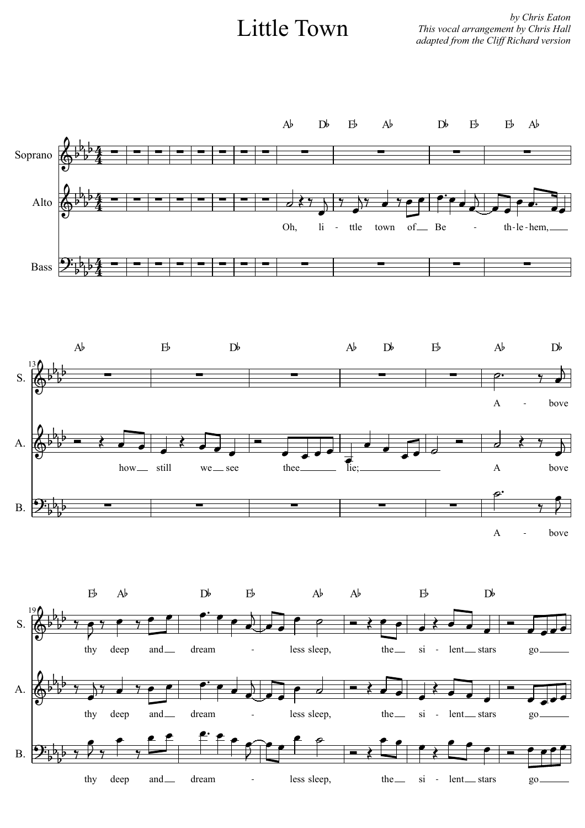Little Town

*by Chris Eaton This vocal arrangement by Chris Hall adapted from the Clif Richard version*

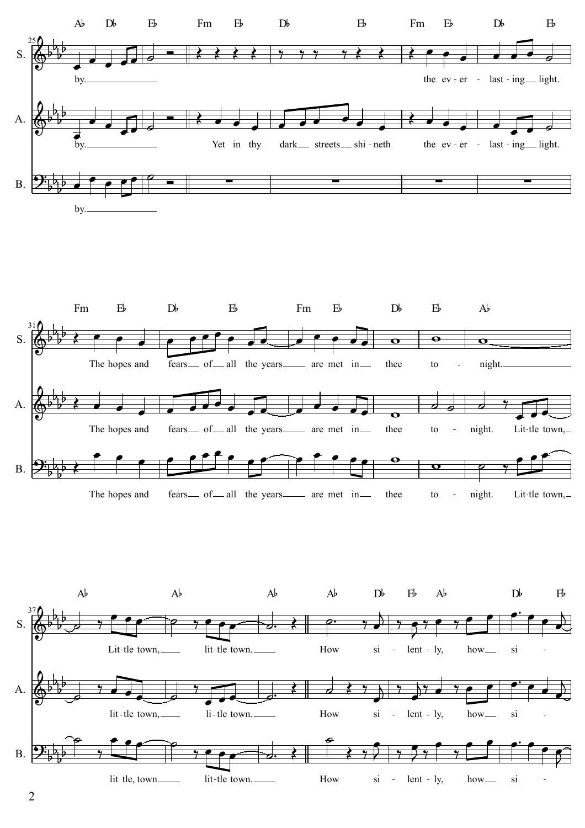

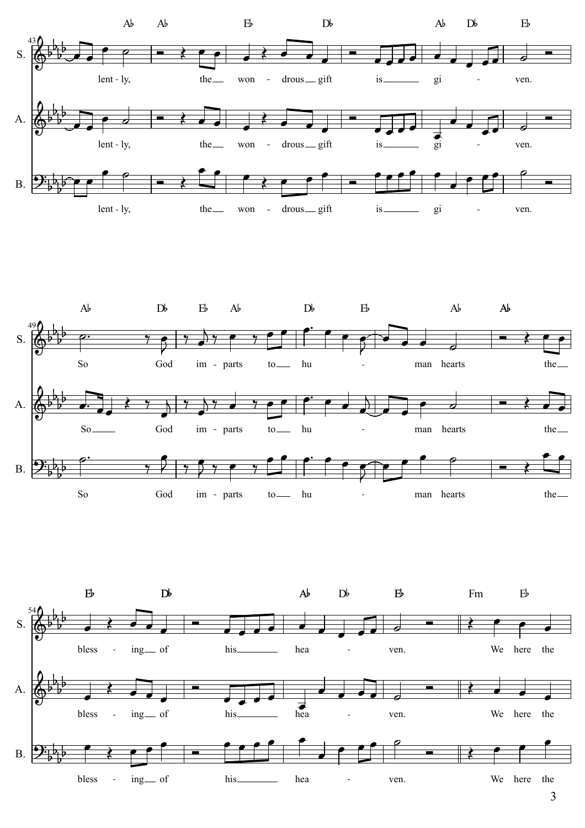



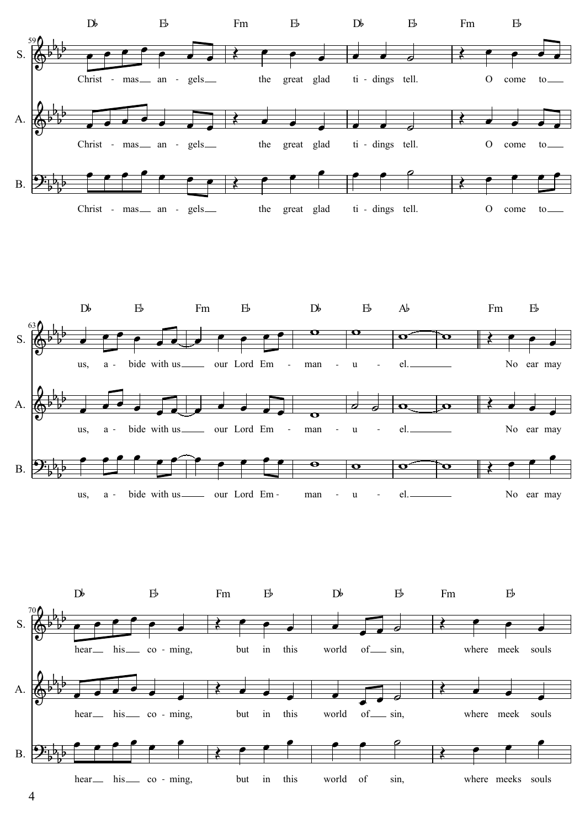

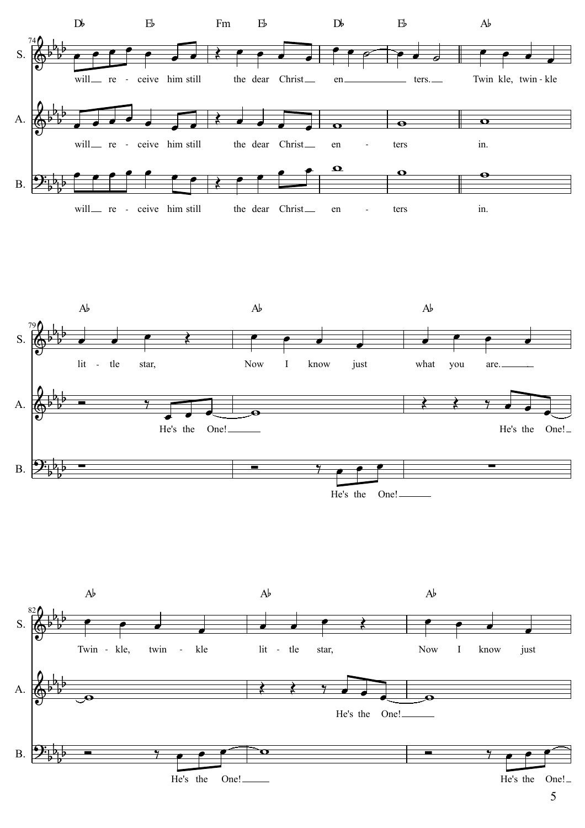